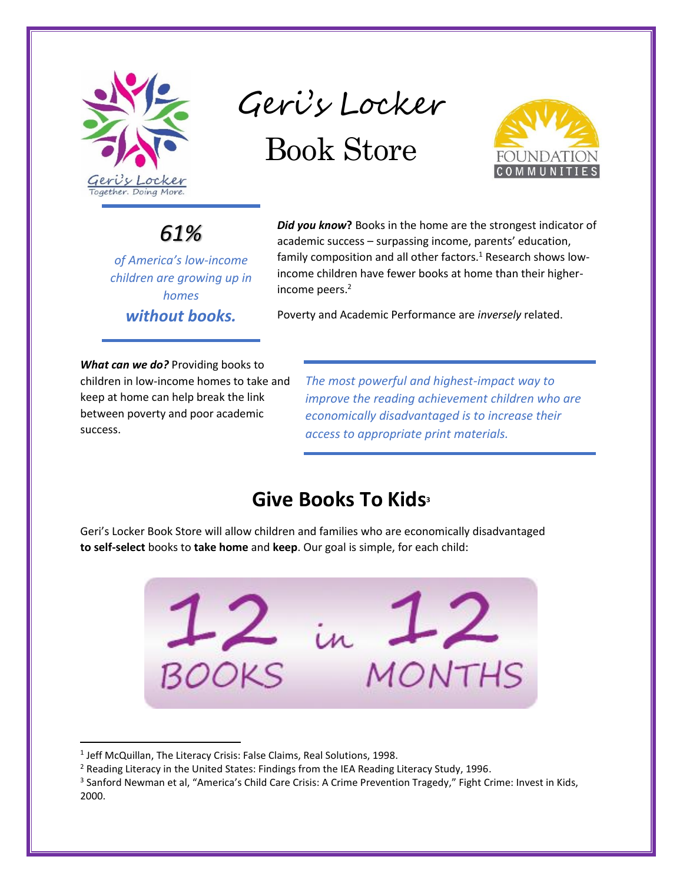

Geri's Locker Book Store



### *61%*

*of America's low-income children are growing up in homes without books.*

*Did you know***?** Books in the home are the strongest indicator of academic success – surpassing income, parents' education, family composition and all other factors.<sup>1</sup> Research shows lowincome children have fewer books at home than their higherincome peers.<sup>2</sup>

Poverty and Academic Performance are *inversely* related.

*What can we do?* Providing books to children in low-income homes to take and keep at home can help break the link between poverty and poor academic success.

*The most powerful and highest-impact way to improve the reading achievement children who are economically disadvantaged is to increase their access to appropriate print materials.*

### **Give Books To Kids<sup>3</sup>**

Geri's Locker Book Store will allow children and families who are economically disadvantaged **to self-select** books to **take home** and **keep**. Our goal is simple, for each child:



<sup>&</sup>lt;sup>1</sup> Jeff McQuillan, The Literacy Crisis: False Claims, Real Solutions, 1998.

 $\overline{\phantom{a}}$ 

<sup>2</sup> Reading Literacy in the United States: Findings from the IEA Reading Literacy Study, 1996.

<sup>&</sup>lt;sup>3</sup> Sanford Newman et al, "America's Child Care Crisis: A Crime Prevention Tragedy," Fight Crime: Invest in Kids, 2000.